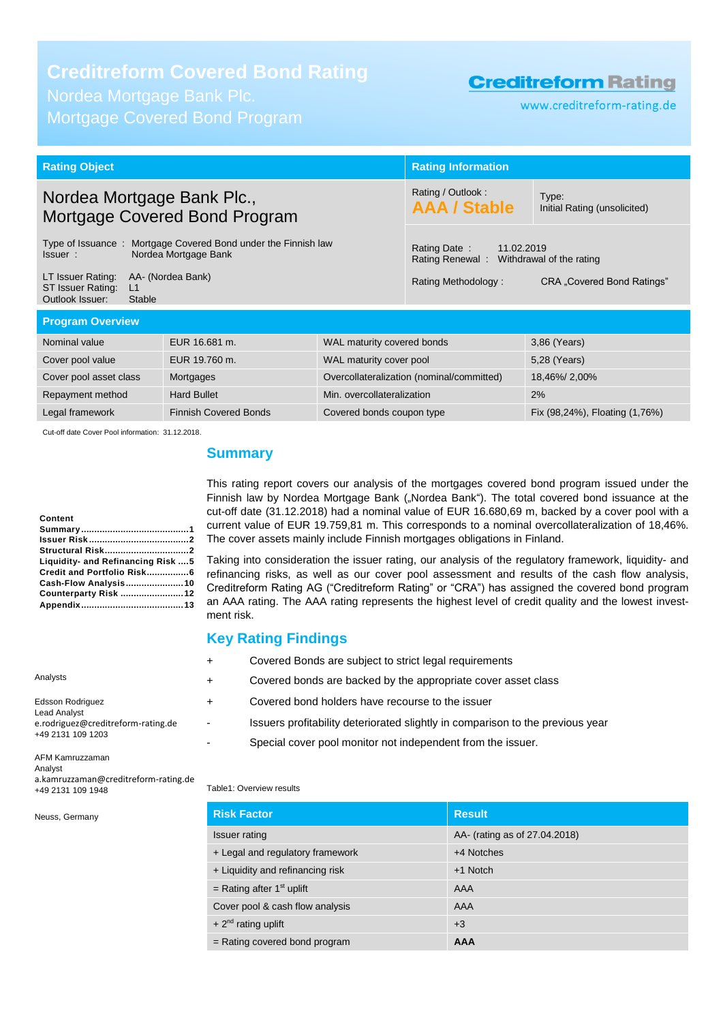### **Creditreform Covered Bond Rating**

Nordea Mortgage Bank Plc. Mortgage Covered Bond Program

### **Creditreform Rating**

www.creditreform-rating.de

| <b>Rating Object</b>                                                                                |                                          | <b>Rating Information</b>                                              |                                           |                            |
|-----------------------------------------------------------------------------------------------------|------------------------------------------|------------------------------------------------------------------------|-------------------------------------------|----------------------------|
| Nordea Mortgage Bank Plc.,<br>Mortgage Covered Bond Program                                         |                                          | Rating / Outlook:<br><b>AAA / Stable</b>                               | Type:<br>Initial Rating (unsolicited)     |                            |
| Type of Issuance:<br>Mortgage Covered Bond under the Finnish law<br>Nordea Mortgage Bank<br>Issuer: |                                          | Rating Date:<br>11.02.2019<br>Rating Renewal: Withdrawal of the rating |                                           |                            |
| LT Issuer Rating:<br>ST Issuer Rating:<br>L1<br>Outlook Issuer:<br>Stable                           | AA- (Nordea Bank)                        |                                                                        | Rating Methodology:                       | CRA "Covered Bond Ratings" |
| <b>Program Overview</b>                                                                             |                                          |                                                                        |                                           |                            |
| Nominal value                                                                                       | EUR 16.681 m.                            | WAL maturity covered bonds                                             |                                           | 3,86 (Years)               |
| Cover pool value                                                                                    | EUR 19.760 m.<br>WAL maturity cover pool |                                                                        |                                           | 5,28 (Years)               |
| Cover pool asset class                                                                              | Mortgages                                |                                                                        | Overcollateralization (nominal/committed) | 18,46%/2,00%               |
| <b>Hard Bullet</b><br>Min. overcollateralization<br>Repayment method                                |                                          |                                                                        | 2%                                        |                            |
| <b>Finnish Covered Bonds</b><br>Legal framework<br>Covered bonds coupon type                        |                                          |                                                                        | Fix (98,24%), Floating (1,76%)            |                            |

Cut-off date Cover Pool information: 31.12.2018.

### <span id="page-0-0"></span>**Summary**

This rating report covers our analysis of the mortgages covered bond program issued under the Finnish law by Nordea Mortgage Bank ("Nordea Bank"). The total covered bond issuance at the cut-off date (31.12.2018) had a nominal value of EUR 16.680,69 m, backed by a cover pool with a current value of EUR 19.759,81 m. This corresponds to a nominal overcollateralization of 18,46%. The cover assets mainly include Finnish mortgages obligations in Finland.

Taking into consideration the issuer rating, our analysis of the regulatory framework, liquidity- and refinancing risks, as well as our cover pool assessment and results of the cash flow analysis, Creditreform Rating AG ("Creditreform Rating" or "CRA") has assigned the covered bond program an AAA rating. The AAA rating represents the highest level of credit quality and the lowest investment risk.

### **Key Rating Findings**

- + Covered Bonds are subject to strict legal requirements
- + Covered bonds are backed by the appropriate cover asset class
- + Covered bond holders have recourse to the issuer
	- Issuers profitability deteriorated slightly in comparison to the previous year
	- Special cover pool monitor not independent from the issuer.

#### AFM Kamruzzaman Analyst a.kamruzzaman@creditreform-rating.de +49 2131 109 1948

e.rodriguez@creditreform-rating.de

Neuss, Germany

**Content**

Analysts

Edsson Rodriguez Lead Analyst

+49 2131 109 1203

### Table1: Overview results

| <b>Risk Factor</b>               | <b>Result</b>                 |
|----------------------------------|-------------------------------|
| <b>Issuer rating</b>             | AA- (rating as of 27.04.2018) |
| + Legal and regulatory framework | +4 Notches                    |
| + Liquidity and refinancing risk | +1 Notch                      |
| = Rating after $1st$ uplift      | AAA                           |
| Cover pool & cash flow analysis  | AAA                           |
| + $2^{nd}$ rating uplift         | $+3$                          |
| = Rating covered bond program    | <b>AAA</b>                    |

## **[Counterparty Risk](#page-11-0) ........................12 [Appendix.......................................13](#page-12-0)**

**Summary [.........................................1](#page-0-0) Issuer Risk [......................................2](#page-1-0) [Structural Risk................................2](#page-1-1) Liquidity- [and Refinancing Risk](#page-4-0) ....5 [Credit and Portfolio Risk................6](#page-5-0) [Cash-Flow Analysis......................10](#page-9-0)**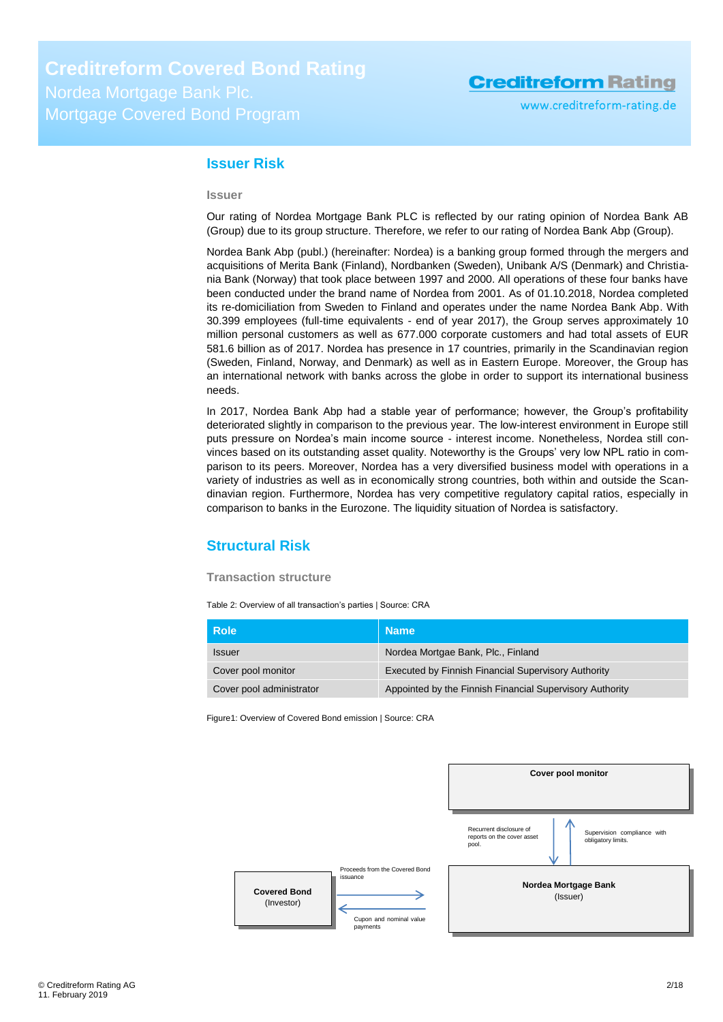### <span id="page-1-0"></span>**Issuer Risk**

#### **Issuer**

Our rating of Nordea Mortgage Bank PLC is reflected by our rating opinion of Nordea Bank AB (Group) due to its group structure. Therefore, we refer to our rating of Nordea Bank Abp (Group).

Nordea Bank Abp (publ.) (hereinafter: Nordea) is a banking group formed through the mergers and acquisitions of Merita Bank (Finland), Nordbanken (Sweden), Unibank A/S (Denmark) and Christiania Bank (Norway) that took place between 1997 and 2000. All operations of these four banks have been conducted under the brand name of Nordea from 2001. As of 01.10.2018, Nordea completed its re-domiciliation from Sweden to Finland and operates under the name Nordea Bank Abp. With 30.399 employees (full-time equivalents - end of year 2017), the Group serves approximately 10 million personal customers as well as 677.000 corporate customers and had total assets of EUR 581.6 billion as of 2017. Nordea has presence in 17 countries, primarily in the Scandinavian region (Sweden, Finland, Norway, and Denmark) as well as in Eastern Europe. Moreover, the Group has an international network with banks across the globe in order to support its international business needs.

In 2017, Nordea Bank Abp had a stable year of performance; however, the Group's profitability deteriorated slightly in comparison to the previous year. The low-interest environment in Europe still puts pressure on Nordea's main income source - interest income. Nonetheless, Nordea still convinces based on its outstanding asset quality. Noteworthy is the Groups' very low NPL ratio in comparison to its peers. Moreover, Nordea has a very diversified business model with operations in a variety of industries as well as in economically strong countries, both within and outside the Scandinavian region. Furthermore, Nordea has very competitive regulatory capital ratios, especially in comparison to banks in the Eurozone. The liquidity situation of Nordea is satisfactory.

### <span id="page-1-1"></span>**Structural Risk**

### **Transaction structure**

Table 2: Overview of all transaction's parties | Source: CRA

| <b>Role</b>              | <b>Name</b>                                                |
|--------------------------|------------------------------------------------------------|
| <b>Issuer</b>            | Nordea Mortgae Bank, Plc., Finland                         |
| Cover pool monitor       | <b>Executed by Finnish Financial Supervisory Authority</b> |
| Cover pool administrator | Appointed by the Finnish Financial Supervisory Authority   |

Figure1: Overview of Covered Bond emission | Source: CRA

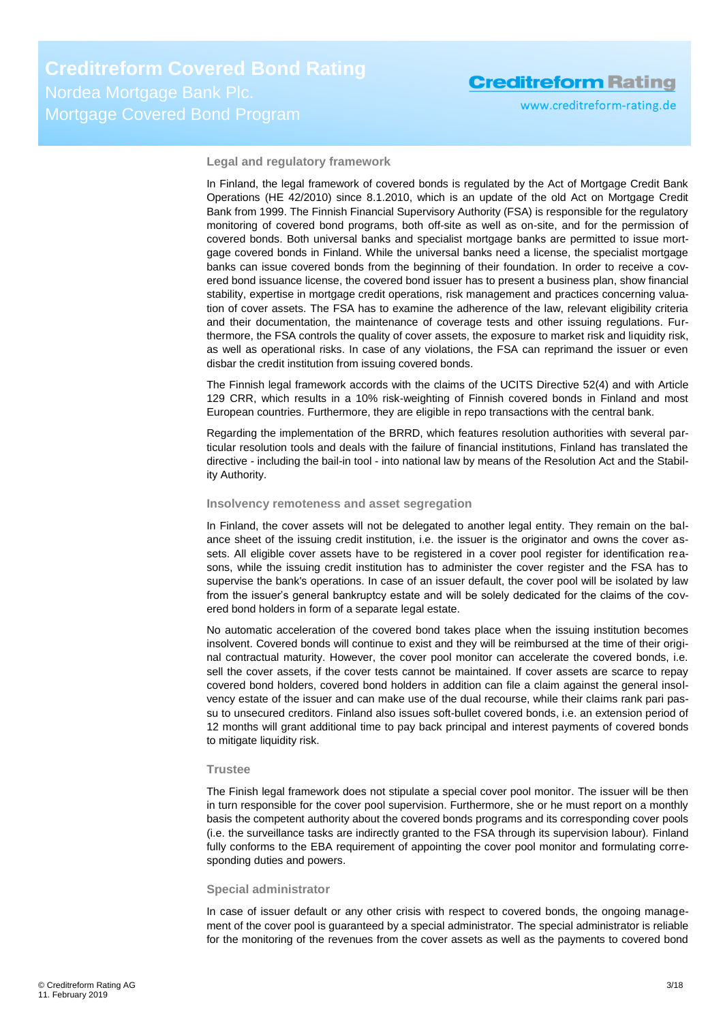www.creditreform-rating.de

**Legal and regulatory framework**

In Finland, the legal framework of covered bonds is regulated by the Act of Mortgage Credit Bank Operations (HE 42/2010) since 8.1.2010, which is an update of the old Act on Mortgage Credit Bank from 1999. The Finnish Financial Supervisory Authority (FSA) is responsible for the regulatory monitoring of covered bond programs, both off-site as well as on-site, and for the permission of covered bonds. Both universal banks and specialist mortgage banks are permitted to issue mortgage covered bonds in Finland. While the universal banks need a license, the specialist mortgage banks can issue covered bonds from the beginning of their foundation. In order to receive a covered bond issuance license, the covered bond issuer has to present a business plan, show financial stability, expertise in mortgage credit operations, risk management and practices concerning valuation of cover assets. The FSA has to examine the adherence of the law, relevant eligibility criteria and their documentation, the maintenance of coverage tests and other issuing regulations. Furthermore, the FSA controls the quality of cover assets, the exposure to market risk and liquidity risk, as well as operational risks. In case of any violations, the FSA can reprimand the issuer or even disbar the credit institution from issuing covered bonds.

The Finnish legal framework accords with the claims of the UCITS Directive 52(4) and with Article 129 CRR, which results in a 10% risk-weighting of Finnish covered bonds in Finland and most European countries. Furthermore, they are eligible in repo transactions with the central bank.

Regarding the implementation of the BRRD, which features resolution authorities with several particular resolution tools and deals with the failure of financial institutions, Finland has translated the directive - including the bail-in tool - into national law by means of the Resolution Act and the Stability Authority.

#### **Insolvency remoteness and asset segregation**

In Finland, the cover assets will not be delegated to another legal entity. They remain on the balance sheet of the issuing credit institution, i.e. the issuer is the originator and owns the cover assets. All eligible cover assets have to be registered in a cover pool register for identification reasons, while the issuing credit institution has to administer the cover register and the FSA has to supervise the bank's operations. In case of an issuer default, the cover pool will be isolated by law from the issuer's general bankruptcy estate and will be solely dedicated for the claims of the covered bond holders in form of a separate legal estate.

No automatic acceleration of the covered bond takes place when the issuing institution becomes insolvent. Covered bonds will continue to exist and they will be reimbursed at the time of their original contractual maturity. However, the cover pool monitor can accelerate the covered bonds, i.e. sell the cover assets, if the cover tests cannot be maintained. If cover assets are scarce to repay covered bond holders, covered bond holders in addition can file a claim against the general insolvency estate of the issuer and can make use of the dual recourse, while their claims rank pari passu to unsecured creditors. Finland also issues soft-bullet covered bonds, i.e. an extension period of 12 months will grant additional time to pay back principal and interest payments of covered bonds to mitigate liquidity risk.

### **Trustee**

The Finish legal framework does not stipulate a special cover pool monitor. The issuer will be then in turn responsible for the cover pool supervision. Furthermore, she or he must report on a monthly basis the competent authority about the covered bonds programs and its corresponding cover pools (i.e. the surveillance tasks are indirectly granted to the FSA through its supervision labour). Finland fully conforms to the EBA requirement of appointing the cover pool monitor and formulating corresponding duties and powers.

#### **Special administrator**

In case of issuer default or any other crisis with respect to covered bonds, the ongoing management of the cover pool is guaranteed by a special administrator. The special administrator is reliable for the monitoring of the revenues from the cover assets as well as the payments to covered bond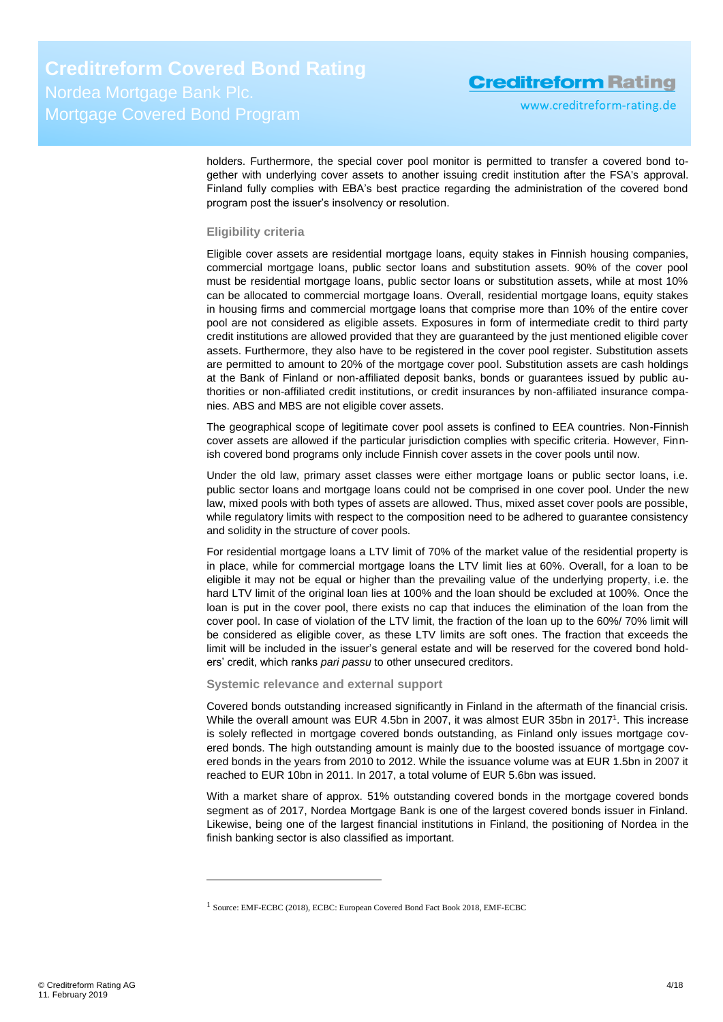holders. Furthermore, the special cover pool monitor is permitted to transfer a covered bond together with underlying cover assets to another issuing credit institution after the FSA's approval. Finland fully complies with EBA's best practice regarding the administration of the covered bond program post the issuer's insolvency or resolution.

### **Eligibility criteria**

Eligible cover assets are residential mortgage loans, equity stakes in Finnish housing companies, commercial mortgage loans, public sector loans and substitution assets. 90% of the cover pool must be residential mortgage loans, public sector loans or substitution assets, while at most 10% can be allocated to commercial mortgage loans. Overall, residential mortgage loans, equity stakes in housing firms and commercial mortgage loans that comprise more than 10% of the entire cover pool are not considered as eligible assets. Exposures in form of intermediate credit to third party credit institutions are allowed provided that they are guaranteed by the just mentioned eligible cover assets. Furthermore, they also have to be registered in the cover pool register. Substitution assets are permitted to amount to 20% of the mortgage cover pool. Substitution assets are cash holdings at the Bank of Finland or non-affiliated deposit banks, bonds or guarantees issued by public authorities or non-affiliated credit institutions, or credit insurances by non-affiliated insurance companies. ABS and MBS are not eligible cover assets.

The geographical scope of legitimate cover pool assets is confined to EEA countries. Non-Finnish cover assets are allowed if the particular jurisdiction complies with specific criteria. However, Finnish covered bond programs only include Finnish cover assets in the cover pools until now.

Under the old law, primary asset classes were either mortgage loans or public sector loans, i.e. public sector loans and mortgage loans could not be comprised in one cover pool. Under the new law, mixed pools with both types of assets are allowed. Thus, mixed asset cover pools are possible, while regulatory limits with respect to the composition need to be adhered to guarantee consistency and solidity in the structure of cover pools.

For residential mortgage loans a LTV limit of 70% of the market value of the residential property is in place, while for commercial mortgage loans the LTV limit lies at 60%. Overall, for a loan to be eligible it may not be equal or higher than the prevailing value of the underlying property, i.e. the hard LTV limit of the original loan lies at 100% and the loan should be excluded at 100%. Once the loan is put in the cover pool, there exists no cap that induces the elimination of the loan from the cover pool. In case of violation of the LTV limit, the fraction of the loan up to the 60%/ 70% limit will be considered as eligible cover, as these LTV limits are soft ones. The fraction that exceeds the limit will be included in the issuer's general estate and will be reserved for the covered bond holders' credit, which ranks *pari passu* to other unsecured creditors.

### **Systemic relevance and external support**

Covered bonds outstanding increased significantly in Finland in the aftermath of the financial crisis. While the overall amount was EUR 4.5bn in 2007, it was almost EUR 35bn in 2017<sup>1</sup>. This increase is solely reflected in mortgage covered bonds outstanding, as Finland only issues mortgage covered bonds. The high outstanding amount is mainly due to the boosted issuance of mortgage covered bonds in the years from 2010 to 2012. While the issuance volume was at EUR 1.5bn in 2007 it reached to EUR 10bn in 2011. In 2017, a total volume of EUR 5.6bn was issued.

With a market share of approx. 51% outstanding covered bonds in the mortgage covered bonds segment as of 2017, Nordea Mortgage Bank is one of the largest covered bonds issuer in Finland. Likewise, being one of the largest financial institutions in Finland, the positioning of Nordea in the finish banking sector is also classified as important.

-

<sup>1</sup> Source: EMF-ECBC (2018), ECBC: European Covered Bond Fact Book 2018, EMF-ECBC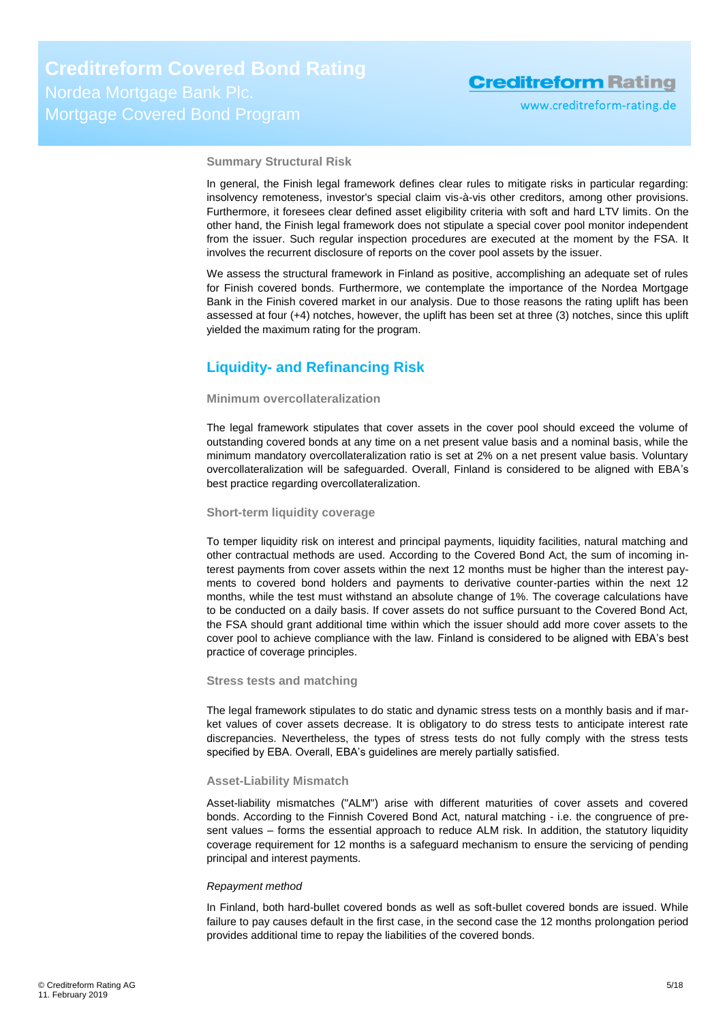**Summary Structural Risk**

In general, the Finish legal framework defines clear rules to mitigate risks in particular regarding: insolvency remoteness, investor's special claim vis-à-vis other creditors, among other provisions. Furthermore, it foresees clear defined asset eligibility criteria with soft and hard LTV limits. On the other hand, the Finish legal framework does not stipulate a special cover pool monitor independent from the issuer. Such regular inspection procedures are executed at the moment by the FSA. It involves the recurrent disclosure of reports on the cover pool assets by the issuer.

We assess the structural framework in Finland as positive, accomplishing an adequate set of rules for Finish covered bonds. Furthermore, we contemplate the importance of the Nordea Mortgage Bank in the Finish covered market in our analysis. Due to those reasons the rating uplift has been assessed at four (+4) notches, however, the uplift has been set at three (3) notches, since this uplift yielded the maximum rating for the program.

### <span id="page-4-0"></span>**Liquidity- and Refinancing Risk**

### **Minimum overcollateralization**

The legal framework stipulates that cover assets in the cover pool should exceed the volume of outstanding covered bonds at any time on a net present value basis and a nominal basis, while the minimum mandatory overcollateralization ratio is set at 2% on a net present value basis. Voluntary overcollateralization will be safeguarded. Overall, Finland is considered to be aligned with EBA's best practice regarding overcollateralization.

### **Short-term liquidity coverage**

To temper liquidity risk on interest and principal payments, liquidity facilities, natural matching and other contractual methods are used. According to the Covered Bond Act, the sum of incoming interest payments from cover assets within the next 12 months must be higher than the interest payments to covered bond holders and payments to derivative counter-parties within the next 12 months, while the test must withstand an absolute change of 1%. The coverage calculations have to be conducted on a daily basis. If cover assets do not suffice pursuant to the Covered Bond Act, the FSA should grant additional time within which the issuer should add more cover assets to the cover pool to achieve compliance with the law. Finland is considered to be aligned with EBA's best practice of coverage principles.

### **Stress tests and matching**

The legal framework stipulates to do static and dynamic stress tests on a monthly basis and if market values of cover assets decrease. It is obligatory to do stress tests to anticipate interest rate discrepancies. Nevertheless, the types of stress tests do not fully comply with the stress tests specified by EBA. Overall, EBA's guidelines are merely partially satisfied.

### **Asset-Liability Mismatch**

Asset-liability mismatches ("ALM") arise with different maturities of cover assets and covered bonds. According to the Finnish Covered Bond Act, natural matching - i.e. the congruence of present values – forms the essential approach to reduce ALM risk. In addition, the statutory liquidity coverage requirement for 12 months is a safeguard mechanism to ensure the servicing of pending principal and interest payments.

#### *Repayment method*

In Finland, both hard-bullet covered bonds as well as soft-bullet covered bonds are issued. While failure to pay causes default in the first case, in the second case the 12 months prolongation period provides additional time to repay the liabilities of the covered bonds.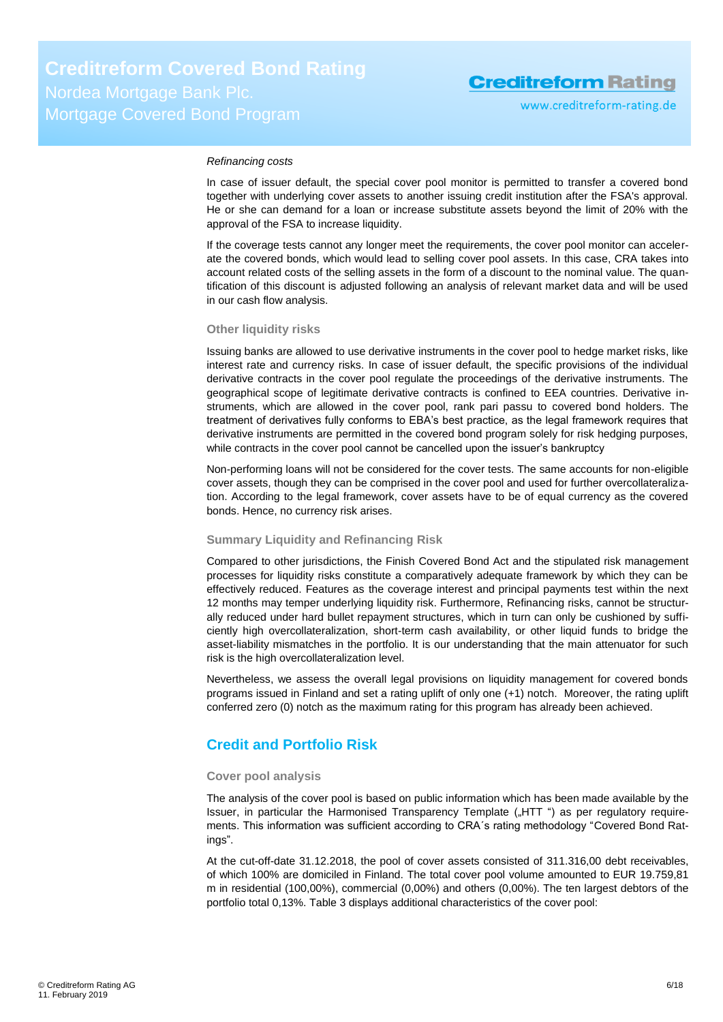#### *Refinancing costs*

In case of issuer default, the special cover pool monitor is permitted to transfer a covered bond together with underlying cover assets to another issuing credit institution after the FSA's approval. He or she can demand for a loan or increase substitute assets beyond the limit of 20% with the approval of the FSA to increase liquidity.

If the coverage tests cannot any longer meet the requirements, the cover pool monitor can accelerate the covered bonds, which would lead to selling cover pool assets. In this case, CRA takes into account related costs of the selling assets in the form of a discount to the nominal value. The quantification of this discount is adjusted following an analysis of relevant market data and will be used in our cash flow analysis.

#### **Other liquidity risks**

Issuing banks are allowed to use derivative instruments in the cover pool to hedge market risks, like interest rate and currency risks. In case of issuer default, the specific provisions of the individual derivative contracts in the cover pool regulate the proceedings of the derivative instruments. The geographical scope of legitimate derivative contracts is confined to EEA countries. Derivative instruments, which are allowed in the cover pool, rank pari passu to covered bond holders. The treatment of derivatives fully conforms to EBA's best practice, as the legal framework requires that derivative instruments are permitted in the covered bond program solely for risk hedging purposes, while contracts in the cover pool cannot be cancelled upon the issuer's bankruptcy

Non-performing loans will not be considered for the cover tests. The same accounts for non-eligible cover assets, though they can be comprised in the cover pool and used for further overcollateralization. According to the legal framework, cover assets have to be of equal currency as the covered bonds. Hence, no currency risk arises.

### **Summary Liquidity and Refinancing Risk**

Compared to other jurisdictions, the Finish Covered Bond Act and the stipulated risk management processes for liquidity risks constitute a comparatively adequate framework by which they can be effectively reduced. Features as the coverage interest and principal payments test within the next 12 months may temper underlying liquidity risk. Furthermore, Refinancing risks, cannot be structurally reduced under hard bullet repayment structures, which in turn can only be cushioned by sufficiently high overcollateralization, short-term cash availability, or other liquid funds to bridge the asset-liability mismatches in the portfolio. It is our understanding that the main attenuator for such risk is the high overcollateralization level.

Nevertheless, we assess the overall legal provisions on liquidity management for covered bonds programs issued in Finland and set a rating uplift of only one (+1) notch. Moreover, the rating uplift conferred zero (0) notch as the maximum rating for this program has already been achieved.

### <span id="page-5-0"></span>**Credit and Portfolio Risk**

#### **Cover pool analysis**

The analysis of the cover pool is based on public information which has been made available by the Issuer, in particular the Harmonised Transparency Template ("HTT") as per regulatory requirements. This information was sufficient according to CRA´s rating methodology "Covered Bond Ratings".

At the cut-off-date 31.12.2018, the pool of cover assets consisted of 311.316,00 debt receivables, of which 100% are domiciled in Finland. The total cover pool volume amounted to EUR 19.759,81 m in residential (100,00%), commercial (0,00%) and others (0,00%). The ten largest debtors of the portfolio total 0,13%. [Table 3](#page-6-0) displays additional characteristics of the cover pool: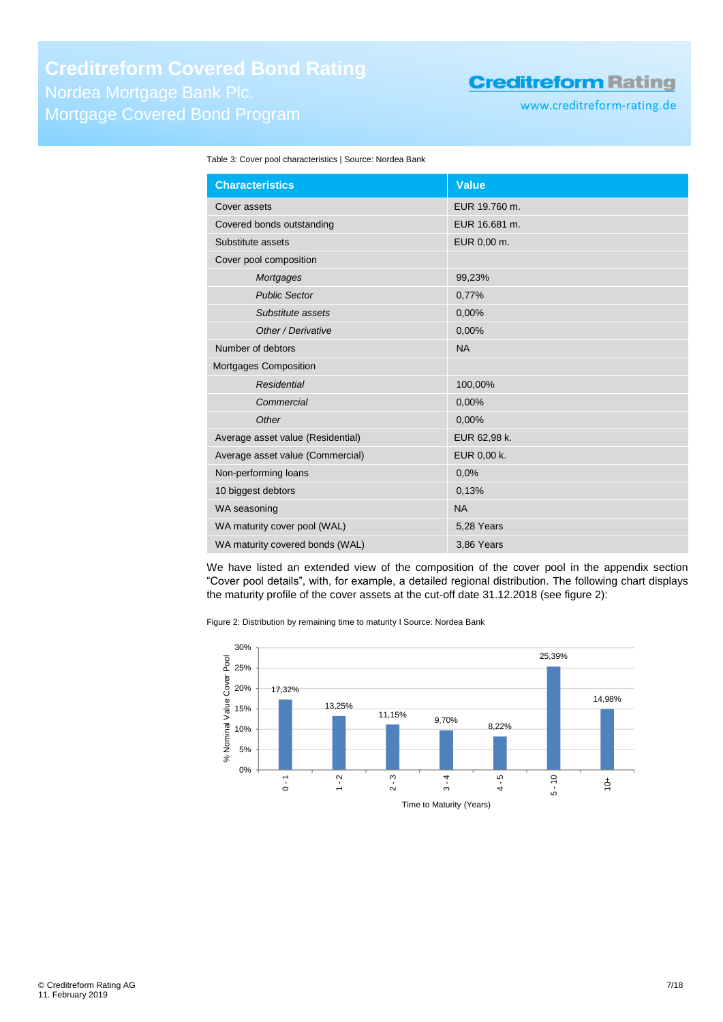www.creditreform-rating.de

<span id="page-6-0"></span>

| Table 3: Cover pool characteristics   Source: Nordea Bank |  |  |  |  |
|-----------------------------------------------------------|--|--|--|--|
|-----------------------------------------------------------|--|--|--|--|

| <b>Characteristics</b>            | Value         |
|-----------------------------------|---------------|
| Cover assets                      | EUR 19.760 m. |
| Covered bonds outstanding         | EUR 16.681 m. |
| Substitute assets                 | EUR 0,00 m.   |
| Cover pool composition            |               |
| Mortgages                         | 99,23%        |
| <b>Public Sector</b>              | 0,77%         |
| Substitute assets                 | 0,00%         |
| Other / Derivative                | 0,00%         |
| Number of debtors                 | <b>NA</b>     |
| Mortgages Composition             |               |
| <b>Residential</b>                | 100,00%       |
| Commercial                        | 0,00%         |
| Other                             | 0,00%         |
| Average asset value (Residential) | EUR 62,98 k.  |
| Average asset value (Commercial)  | EUR 0,00 k.   |
| Non-performing loans              | 0.0%          |
| 10 biggest debtors                | 0,13%         |
| WA seasoning                      | <b>NA</b>     |
| WA maturity cover pool (WAL)      | 5,28 Years    |
| WA maturity covered bonds (WAL)   | 3,86 Years    |

We have listed an extended view of the composition of the cover pool in the appendix section "Cover pool details", with, for example, a detailed regional distribution. The following chart displays the maturity profile of the cover assets at the cut-off date 31.12.2018 (see [figure 2\)](#page-6-1):

<span id="page-6-1"></span>Figure 2: Distribution by remaining time to maturity I Source: Nordea Bank

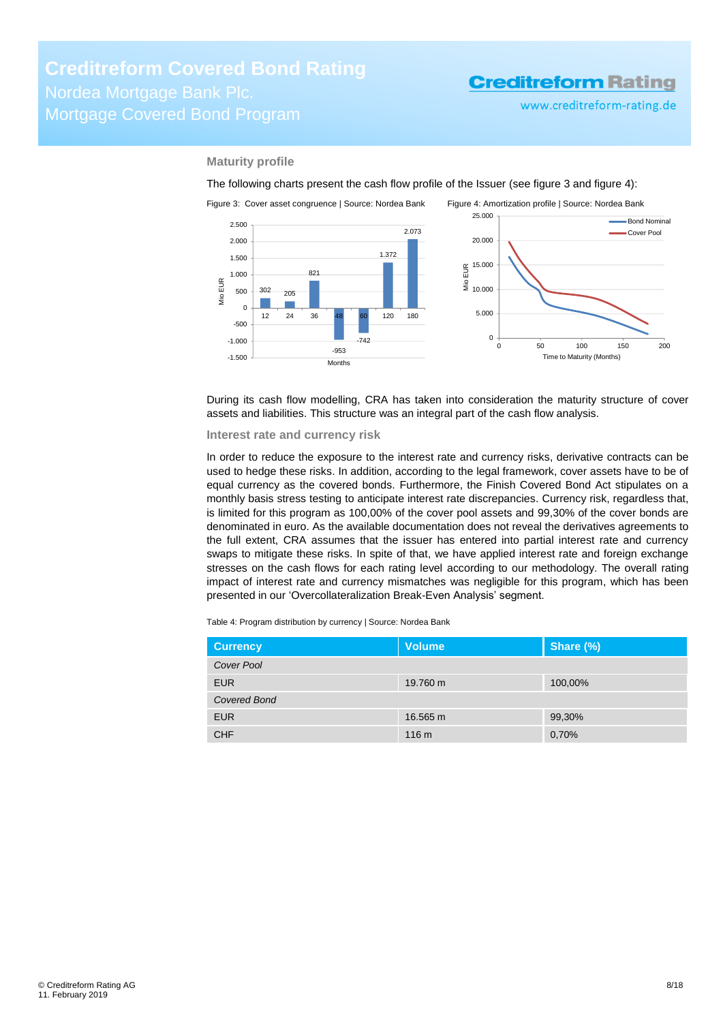<span id="page-7-1"></span>www.creditreform-rating.de

### **Maturity profile**

The following charts present the cash flow profile of the Issuer (see [figure 3](#page-7-0) an[d figure 4\)](#page-7-1):

<span id="page-7-0"></span>

During its cash flow modelling, CRA has taken into consideration the maturity structure of cover assets and liabilities. This structure was an integral part of the cash flow analysis.

#### **Interest rate and currency risk**

In order to reduce the exposure to the interest rate and currency risks, derivative contracts can be used to hedge these risks. In addition, according to the legal framework, cover assets have to be of equal currency as the covered bonds. Furthermore, the Finish Covered Bond Act stipulates on a monthly basis stress testing to anticipate interest rate discrepancies. Currency risk, regardless that, is limited for this program as 100,00% of the cover pool assets and 99,30% of the cover bonds are denominated in euro. As the available documentation does not reveal the derivatives agreements to the full extent, CRA assumes that the issuer has entered into partial interest rate and currency swaps to mitigate these risks. In spite of that, we have applied interest rate and foreign exchange stresses on the cash flows for each rating level according to our methodology. The overall rating impact of interest rate and currency mismatches was negligible for this program, which has been presented in our 'Overcollateralization Break-Even Analysis' segment.

Table 4: Program distribution by currency | Source: Nordea Bank

| <b>Currency</b>   | <b>Volume</b>    | Share (%) |
|-------------------|------------------|-----------|
| <b>Cover Pool</b> |                  |           |
| <b>EUR</b>        | 19.760 m         | 100,00%   |
| Covered Bond      |                  |           |
| <b>EUR</b>        | 16.565 m         | 99,30%    |
| <b>CHF</b>        | 116 <sub>m</sub> | 0,70%     |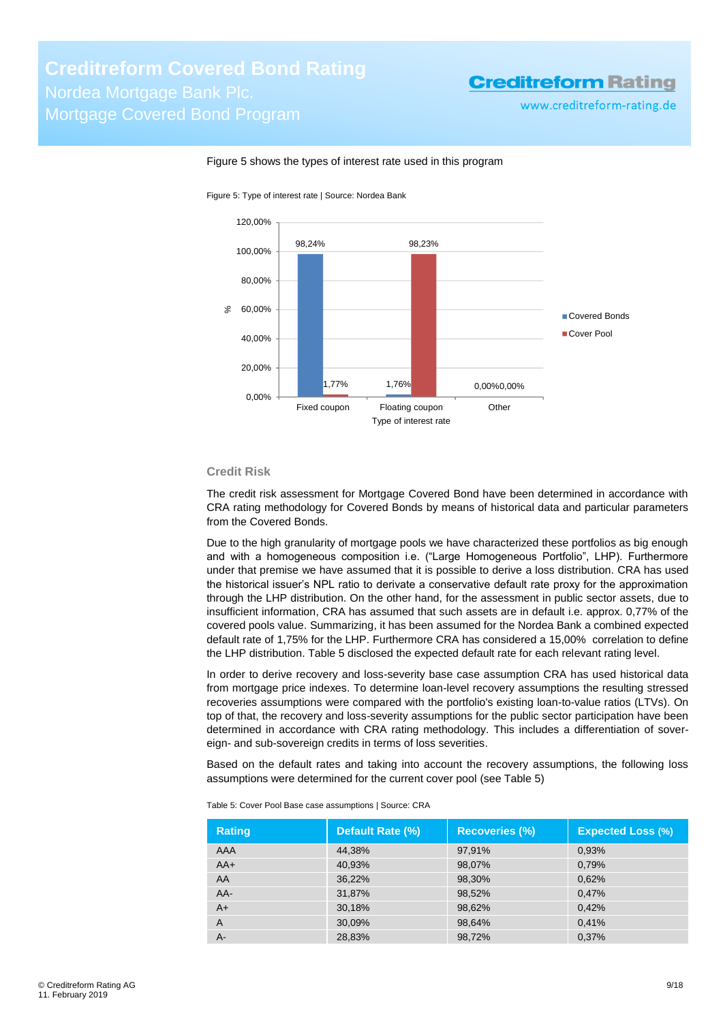www.creditreform-rating.de



### Figure 5 shows the types of interest rate used in this program

Figure 5: Type of interest rate | Source: Nordea Bank

### **Credit Risk**

The credit risk assessment for Mortgage Covered Bond have been determined in accordance with CRA rating methodology for Covered Bonds by means of historical data and particular parameters from the Covered Bonds.

Due to the high granularity of mortgage pools we have characterized these portfolios as big enough and with a homogeneous composition i.e. ("Large Homogeneous Portfolio", LHP). Furthermore under that premise we have assumed that it is possible to derive a loss distribution. CRA has used the historical issuer's NPL ratio to derivate a conservative default rate proxy for the approximation through the LHP distribution. On the other hand, for the assessment in public sector assets, due to insufficient information, CRA has assumed that such assets are in default i.e. approx. 0,77% of the covered pools value. Summarizing, it has been assumed for the Nordea Bank a combined expected default rate of 1,75% for the LHP. Furthermore CRA has considered a 15,00% correlation to define the LHP distribution[. Table 5](#page-8-0) disclosed the expected default rate for each relevant rating level.

In order to derive recovery and loss-severity base case assumption CRA has used historical data from mortgage price indexes. To determine loan-level recovery assumptions the resulting stressed recoveries assumptions were compared with the portfolio's existing loan-to-value ratios (LTVs). On top of that, the recovery and loss-severity assumptions for the public sector participation have been determined in accordance with CRA rating methodology. This includes a differentiation of sovereign- and sub-sovereign credits in terms of loss severities.

Based on the default rates and taking into account the recovery assumptions, the following loss assumptions were determined for the current cover pool (see [Table 5\)](#page-8-0)

| <b>Rating</b> | Default Rate (%) | <b>Recoveries (%)</b> | <b>Expected Loss (%)</b> |
|---------------|------------------|-----------------------|--------------------------|
| AAA           | 44,38%           | 97,91%                | 0,93%                    |
| $AA+$         | 40,93%           | 98,07%                | 0,79%                    |
| AA            | 36,22%           | 98,30%                | 0,62%                    |
| AA-           | 31,87%           | 98,52%                | 0,47%                    |
| $A+$          | 30,18%           | 98,62%                | 0,42%                    |
| A             | 30,09%           | 98,64%                | 0,41%                    |
| A-            | 28,83%           | 98,72%                | 0,37%                    |

<span id="page-8-0"></span>Table 5: Cover Pool Base case assumptions | Source: CRA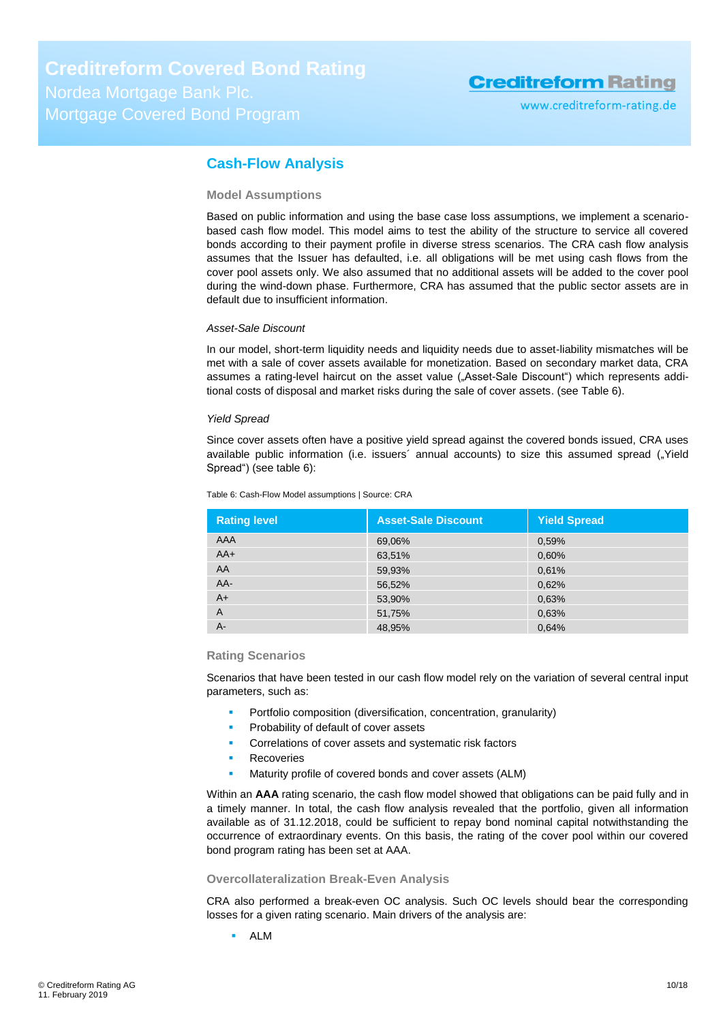www.creditreform-rating.de

### <span id="page-9-0"></span>**Cash-Flow Analysis**

### **Model Assumptions**

Based on public information and using the base case loss assumptions, we implement a scenariobased cash flow model. This model aims to test the ability of the structure to service all covered bonds according to their payment profile in diverse stress scenarios. The CRA cash flow analysis assumes that the Issuer has defaulted, i.e. all obligations will be met using cash flows from the cover pool assets only. We also assumed that no additional assets will be added to the cover pool during the wind-down phase. Furthermore, CRA has assumed that the public sector assets are in default due to insufficient information.

### *Asset-Sale Discount*

In our model, short-term liquidity needs and liquidity needs due to asset-liability mismatches will be met with a sale of cover assets available for monetization. Based on secondary market data, CRA assumes a rating-level haircut on the asset value ("Asset-Sale Discount") which represents additional costs of disposal and market risks during the sale of cover assets. (see [Table 6\)](#page-9-1).

### *Yield Spread*

Since cover assets often have a positive yield spread against the covered bonds issued, CRA uses available public information (i.e. issuers' annual accounts) to size this assumed spread ("Yield Spread") (see [table 6\)](#page-9-1):

| <b>Rating level</b> | <b>Asset-Sale Discount</b> | <b>Yield Spread</b> |
|---------------------|----------------------------|---------------------|
| AAA                 | 69,06%                     | 0,59%               |
| $AA+$               | 63,51%                     | 0,60%               |
| AA                  | 59,93%                     | 0,61%               |
| AA-                 | 56,52%                     | 0,62%               |
| $A+$                | 53,90%                     | 0,63%               |
| A                   | 51,75%                     | 0,63%               |
| $A -$               | 48,95%                     | 0.64%               |

<span id="page-9-1"></span>Table 6: Cash-Flow Model assumptions | Source: CRA

### **Rating Scenarios**

Scenarios that have been tested in our cash flow model rely on the variation of several central input parameters, such as:

- Portfolio composition (diversification, concentration, granularity)
- Probability of default of cover assets
- Correlations of cover assets and systematic risk factors
- Recoveries
- Maturity profile of covered bonds and cover assets (ALM)

Within an **AAA** rating scenario, the cash flow model showed that obligations can be paid fully and in a timely manner. In total, the cash flow analysis revealed that the portfolio, given all information available as of 31.12.2018, could be sufficient to repay bond nominal capital notwithstanding the occurrence of extraordinary events. On this basis, the rating of the cover pool within our covered bond program rating has been set at AAA.

### **Overcollateralization Break-Even Analysis**

CRA also performed a break-even OC analysis. Such OC levels should bear the corresponding losses for a given rating scenario. Main drivers of the analysis are:

ALM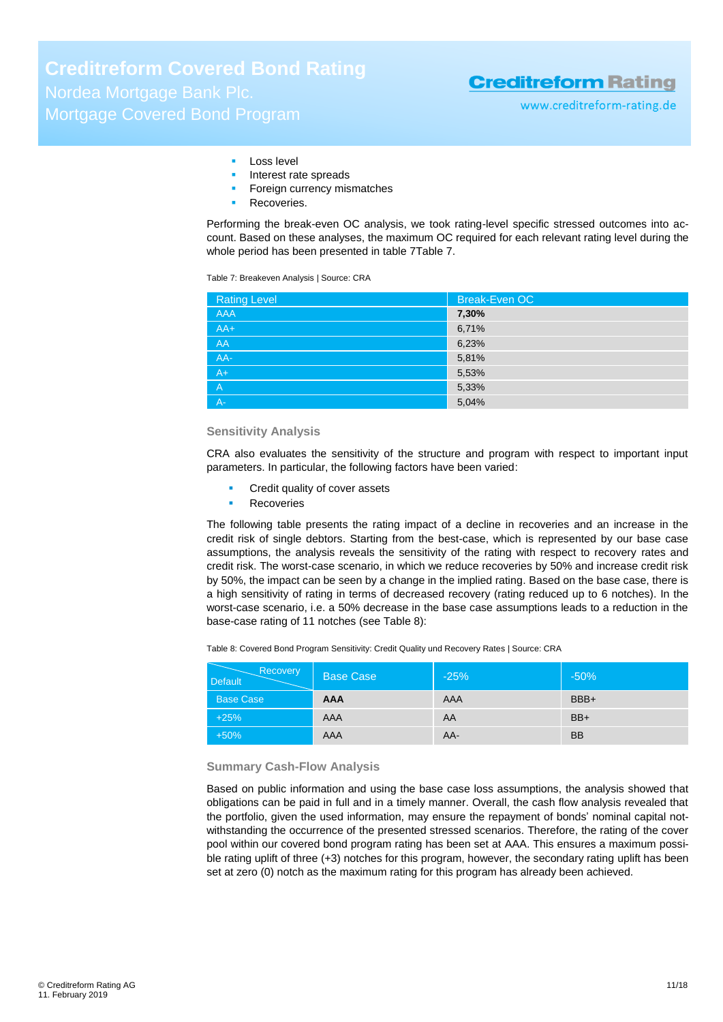**Creditreform Covered Bond Rating** Nordea Mortgage Bank Plc. Mortgage Covered Bond Program

### **Creditreform Rating**

www.creditreform-rating.de

#### Loss level

- Interest rate spreads
- Foreign currency mismatches
- Recoveries.

Performing the break-even OC analysis, we took rating-level specific stressed outcomes into account. Based on these analyses, the maximum OC required for each relevant rating level during the whole period has been presented in [table 7Table 7.](#page-10-0)

<span id="page-10-0"></span>Table 7: Breakeven Analysis | Source: CRA

| <b>Rating Level</b> | Break-Even OC |
|---------------------|---------------|
| <b>AAA</b>          | 7,30%         |
| $AA+$               | 6,71%         |
| AA                  | 6,23%         |
| AA-                 | 5,81%         |
| $A+$                | 5,53%         |
| $\overline{A}$      | 5,33%         |
| $A -$               | 5,04%         |

### **Sensitivity Analysis**

CRA also evaluates the sensitivity of the structure and program with respect to important input parameters. In particular, the following factors have been varied:

- Credit quality of cover assets
- Recoveries

The following table presents the rating impact of a decline in recoveries and an increase in the credit risk of single debtors. Starting from the best-case, which is represented by our base case assumptions, the analysis reveals the sensitivity of the rating with respect to recovery rates and credit risk. The worst-case scenario, in which we reduce recoveries by 50% and increase credit risk by 50%, the impact can be seen by a change in the implied rating. Based on the base case, there is a high sensitivity of rating in terms of decreased recovery (rating reduced up to 6 notches). In the worst-case scenario, i.e. a 50% decrease in the base case assumptions leads to a reduction in the base-case rating of 11 notches (see [Table 8\)](#page-10-1):

<span id="page-10-1"></span>Table 8: Covered Bond Program Sensitivity: Credit Quality und Recovery Rates | Source: CRA

| Recovery<br><b>Default</b> | <b>Base Case</b> | $-25%$ | $-50%$    |
|----------------------------|------------------|--------|-----------|
| <b>Base Case</b>           | <b>AAA</b>       | AAA    | BBB+      |
| $+25%$                     | AAA              | AA     | $BB+$     |
| $+50%$                     | AAA              | AA-    | <b>BB</b> |

#### **Summary Cash-Flow Analysis**

Based on public information and using the base case loss assumptions, the analysis showed that obligations can be paid in full and in a timely manner. Overall, the cash flow analysis revealed that the portfolio, given the used information, may ensure the repayment of bonds' nominal capital notwithstanding the occurrence of the presented stressed scenarios. Therefore, the rating of the cover pool within our covered bond program rating has been set at AAA. This ensures a maximum possible rating uplift of three (+3) notches for this program, however, the secondary rating uplift has been set at zero (0) notch as the maximum rating for this program has already been achieved.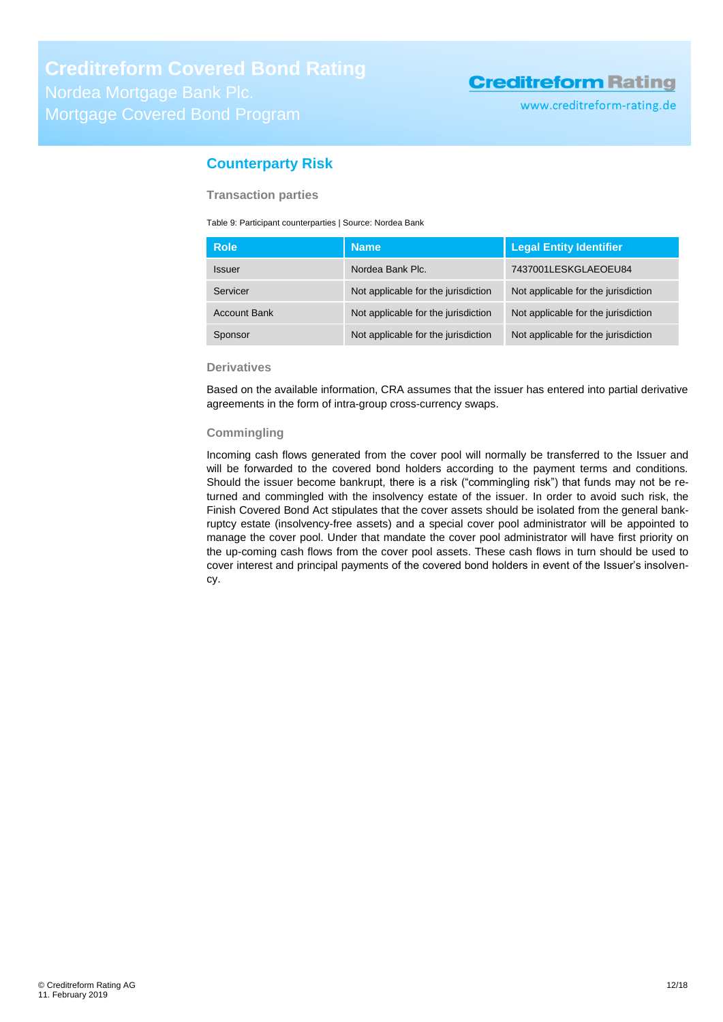www.creditreform-rating.de

### <span id="page-11-0"></span>**Counterparty Risk**

**Transaction parties**

Table 9: Participant counterparties | Source: Nordea Bank

| <b>Role</b>          | <b>Name</b>                         | <b>Legal Entity Identifier</b>      |
|----------------------|-------------------------------------|-------------------------------------|
| <i><b>Issuer</b></i> | Nordea Bank Plc.                    | 7437001LESKGLAEOEU84                |
| Servicer             | Not applicable for the jurisdiction | Not applicable for the jurisdiction |
| <b>Account Bank</b>  | Not applicable for the jurisdiction | Not applicable for the jurisdiction |
| Sponsor              | Not applicable for the jurisdiction | Not applicable for the jurisdiction |

### **Derivatives**

Based on the available information, CRA assumes that the issuer has entered into partial derivative agreements in the form of intra-group cross-currency swaps.

### **Commingling**

Incoming cash flows generated from the cover pool will normally be transferred to the Issuer and will be forwarded to the covered bond holders according to the payment terms and conditions. Should the issuer become bankrupt, there is a risk ("commingling risk") that funds may not be returned and commingled with the insolvency estate of the issuer. In order to avoid such risk, the Finish Covered Bond Act stipulates that the cover assets should be isolated from the general bankruptcy estate (insolvency-free assets) and a special cover pool administrator will be appointed to manage the cover pool. Under that mandate the cover pool administrator will have first priority on the up-coming cash flows from the cover pool assets. These cash flows in turn should be used to cover interest and principal payments of the covered bond holders in event of the Issuer's insolvency.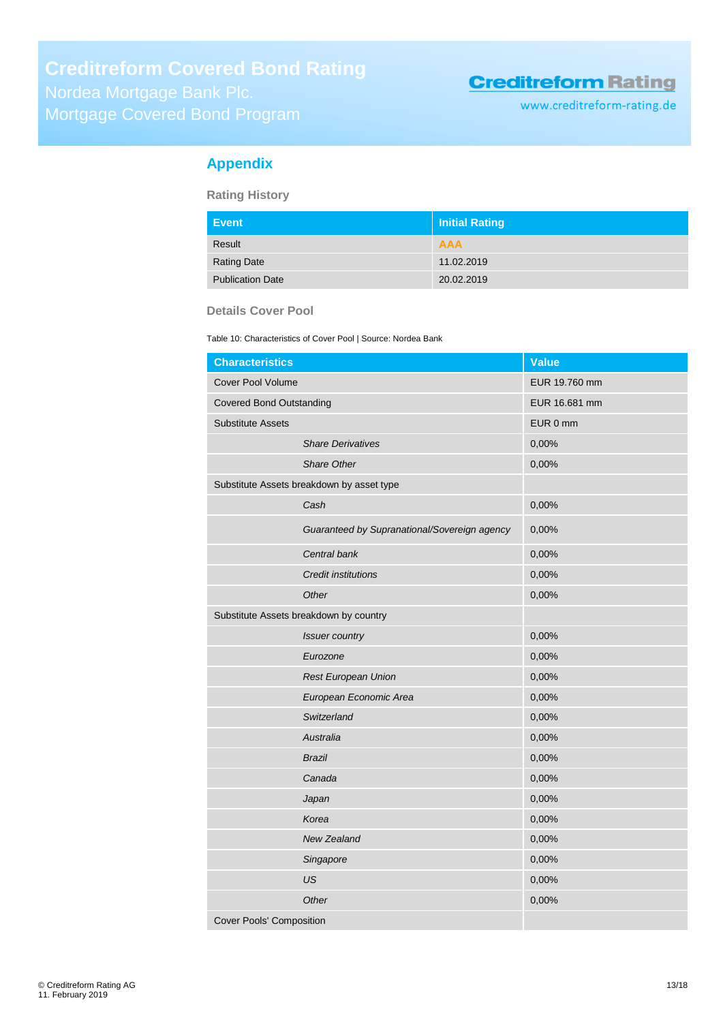www.creditreform-rating.de

### <span id="page-12-0"></span>**Appendix**

**Rating History**

| <b>Event</b>            | Initial Rating |
|-------------------------|----------------|
| Result                  | <b>AAA</b>     |
| <b>Rating Date</b>      | 11.02.2019     |
| <b>Publication Date</b> | 20.02.2019     |

### **Details Cover Pool**

Table 10: Characteristics of Cover Pool | Source: Nordea Bank

| <b>Characteristics</b>                       | <b>Value</b>  |
|----------------------------------------------|---------------|
| <b>Cover Pool Volume</b>                     | EUR 19.760 mm |
| <b>Covered Bond Outstanding</b>              | EUR 16.681 mm |
| <b>Substitute Assets</b>                     | EUR 0 mm      |
| <b>Share Derivatives</b>                     | 0,00%         |
| Share Other                                  | 0,00%         |
| Substitute Assets breakdown by asset type    |               |
| Cash                                         | 0,00%         |
| Guaranteed by Supranational/Sovereign agency | 0,00%         |
| Central bank                                 | 0,00%         |
| <b>Credit institutions</b>                   | 0,00%         |
| Other                                        | 0,00%         |
| Substitute Assets breakdown by country       |               |
| <b>Issuer country</b>                        | 0,00%         |
| Eurozone                                     | 0,00%         |
| <b>Rest European Union</b>                   | 0,00%         |
| European Economic Area                       | 0,00%         |
| Switzerland                                  | 0,00%         |
| Australia                                    | 0,00%         |
| <b>Brazil</b>                                | 0,00%         |
| Canada                                       | 0,00%         |
| Japan                                        | 0,00%         |
| Korea                                        | 0,00%         |
| <b>New Zealand</b>                           | 0,00%         |
| Singapore                                    | 0,00%         |
| US                                           | 0,00%         |
| Other                                        | 0,00%         |
| <b>Cover Pools' Composition</b>              |               |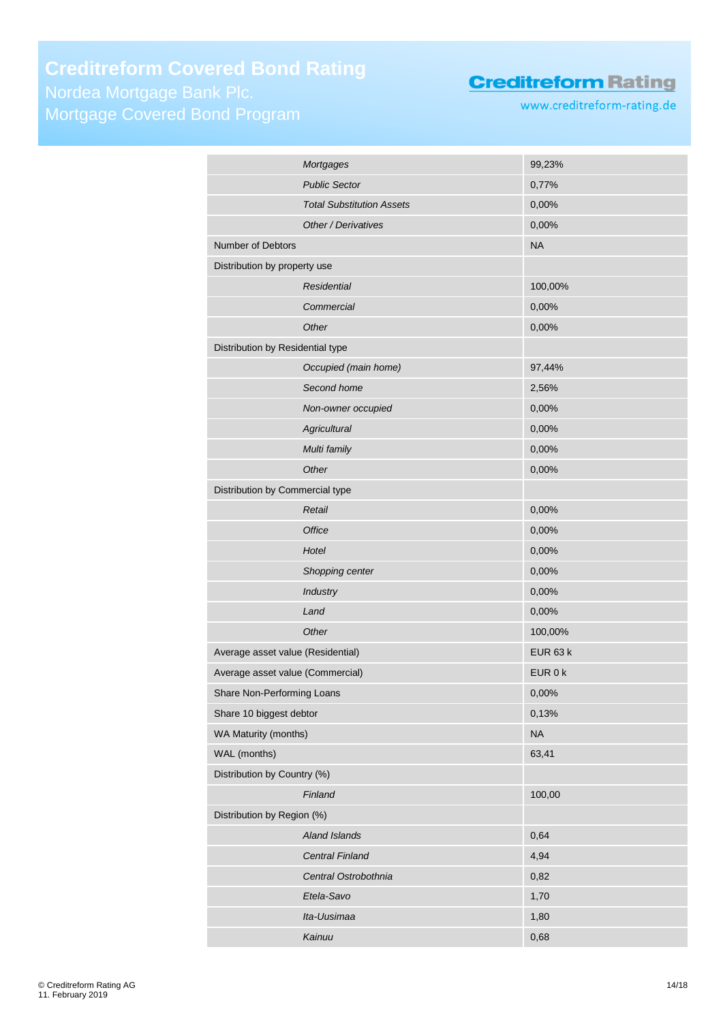# **Creditreform Covered Bond Rating**

Mortgage Covered Bond Program

### **Creditreform Rating**

www.creditreform-rating.de

| 99,23%<br>0,77%<br><b>Total Substitution Assets</b><br>0,00%<br>Other / Derivatives<br>0,00%<br><b>NA</b><br>100,00%<br>0,00%<br>0,00%<br>Occupied (main home)<br>97,44%<br>2,56%<br>0,00%<br>Non-owner occupied |
|------------------------------------------------------------------------------------------------------------------------------------------------------------------------------------------------------------------|
|                                                                                                                                                                                                                  |
|                                                                                                                                                                                                                  |
|                                                                                                                                                                                                                  |
|                                                                                                                                                                                                                  |
|                                                                                                                                                                                                                  |
|                                                                                                                                                                                                                  |
|                                                                                                                                                                                                                  |
|                                                                                                                                                                                                                  |
|                                                                                                                                                                                                                  |
|                                                                                                                                                                                                                  |
|                                                                                                                                                                                                                  |
|                                                                                                                                                                                                                  |
|                                                                                                                                                                                                                  |
| 0,00%                                                                                                                                                                                                            |
| 0,00%                                                                                                                                                                                                            |
| 0,00%                                                                                                                                                                                                            |
|                                                                                                                                                                                                                  |
| 0,00%                                                                                                                                                                                                            |
| 0,00%                                                                                                                                                                                                            |
| 0,00%                                                                                                                                                                                                            |
| 0,00%                                                                                                                                                                                                            |
| 0,00%                                                                                                                                                                                                            |
| 0,00%                                                                                                                                                                                                            |
| 100,00%                                                                                                                                                                                                          |
| <b>EUR 63 k</b>                                                                                                                                                                                                  |
| EUR 0 k                                                                                                                                                                                                          |
| 0,00%                                                                                                                                                                                                            |
| 0,13%                                                                                                                                                                                                            |
| <b>NA</b>                                                                                                                                                                                                        |
| 63,41                                                                                                                                                                                                            |
|                                                                                                                                                                                                                  |
| 100,00                                                                                                                                                                                                           |
|                                                                                                                                                                                                                  |
| 0,64                                                                                                                                                                                                             |
|                                                                                                                                                                                                                  |
| 4,94                                                                                                                                                                                                             |
| Central Ostrobothnia<br>0,82                                                                                                                                                                                     |
| 1,70                                                                                                                                                                                                             |
| 1,80                                                                                                                                                                                                             |
|                                                                                                                                                                                                                  |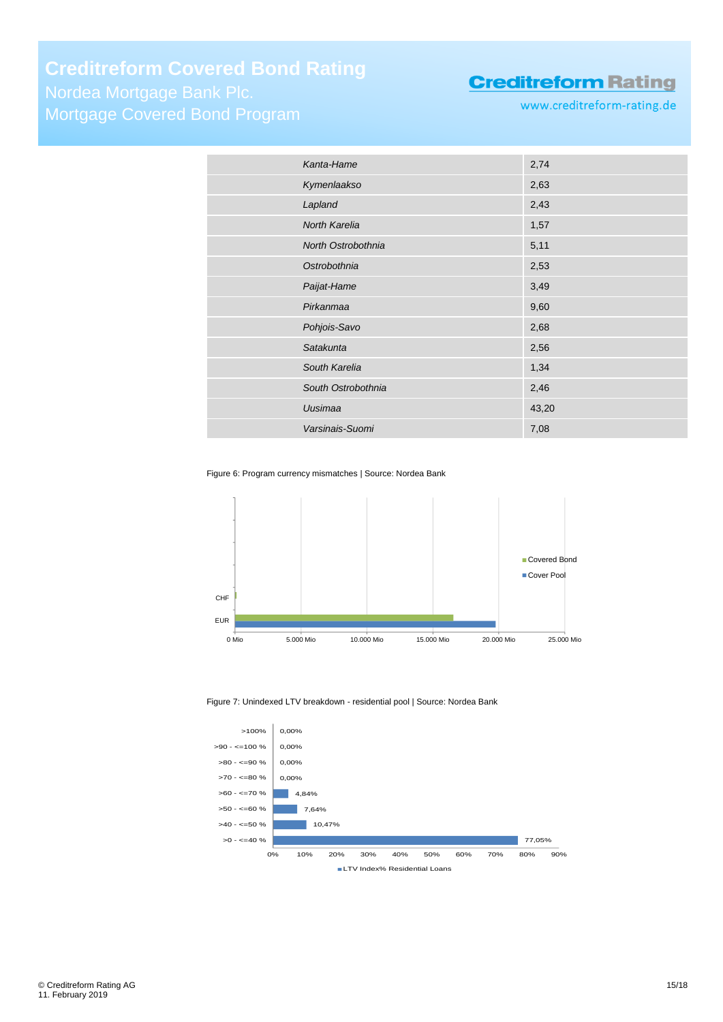## **Creditreform Covered Bond Rating**

Nordea Mortgage Bank Plc. Mortgage Covered Bond Program

### **Creditreform Rating**

www.creditreform-rating.de

| Kanta-Hame         | 2,74  |
|--------------------|-------|
| Kymenlaakso        | 2,63  |
| Lapland            | 2,43  |
| North Karelia      | 1,57  |
| North Ostrobothnia | 5,11  |
| Ostrobothnia       | 2,53  |
| Paijat-Hame        | 3,49  |
| Pirkanmaa          | 9,60  |
| Pohjois-Savo       | 2,68  |
| Satakunta          | 2,56  |
| South Karelia      | 1,34  |
| South Ostrobothnia | 2,46  |
| Uusimaa            | 43,20 |
| Varsinais-Suomi    | 7,08  |

Figure 6: Program currency mismatches | Source: Nordea Bank



#### Figure 7: Unindexed LTV breakdown - residential pool | Source: Nordea Bank

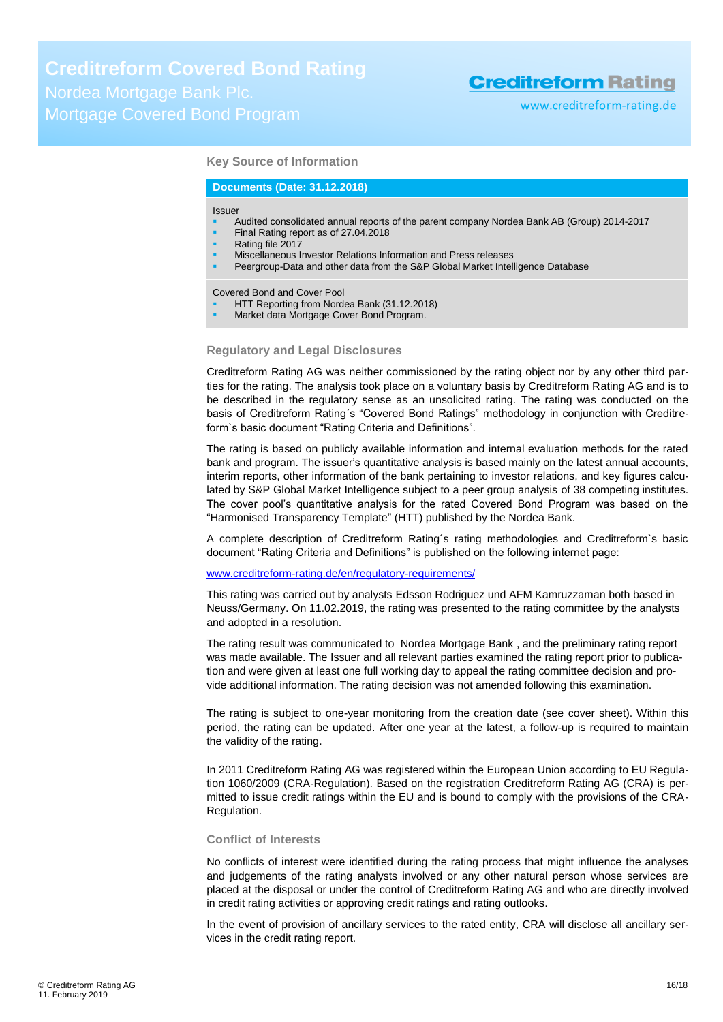www.creditreform-rating.de

### **Key Source of Information**

#### **Documents (Date: 31.12.2018)**

#### Issuer

- Audited consolidated annual reports of the parent company Nordea Bank AB (Group) 2014-2017
- Final Rating report as of 27.04.2018
- Rating file 2017
- Miscellaneous Investor Relations Information and Press releases
- Peergroup-Data and other data from the S&P Global Market Intelligence Database

Covered Bond and Cover Pool

- HTT Reporting from Nordea Bank (31.12.2018)
- Market data Mortgage Cover Bond Program.

#### **Regulatory and Legal Disclosures**

Creditreform Rating AG was neither commissioned by the rating object nor by any other third parties for the rating. The analysis took place on a voluntary basis by Creditreform Rating AG and is to be described in the regulatory sense as an unsolicited rating. The rating was conducted on the basis of Creditreform Rating´s "Covered Bond Ratings" methodology in conjunction with Creditreform`s basic document "Rating Criteria and Definitions".

The rating is based on publicly available information and internal evaluation methods for the rated bank and program. The issuer's quantitative analysis is based mainly on the latest annual accounts, interim reports, other information of the bank pertaining to investor relations, and key figures calculated by S&P Global Market Intelligence subject to a peer group analysis of 38 competing institutes. The cover pool's quantitative analysis for the rated Covered Bond Program was based on the "Harmonised Transparency Template" (HTT) published by the Nordea Bank.

A complete description of Creditreform Rating´s rating methodologies and Creditreform`s basic document "Rating Criteria and Definitions" is published on the following internet page:

#### [www.creditreform-rating.de/](http://www.creditreform-rating.de/)en/regulatory-requirements/

This rating was carried out by analysts Edsson Rodriguez und AFM Kamruzzaman both based in Neuss/Germany. On 11.02.2019, the rating was presented to the rating committee by the analysts and adopted in a resolution.

The rating result was communicated to Nordea Mortgage Bank , and the preliminary rating report was made available. The Issuer and all relevant parties examined the rating report prior to publication and were given at least one full working day to appeal the rating committee decision and provide additional information. The rating decision was not amended following this examination.

The rating is subject to one-year monitoring from the creation date (see cover sheet). Within this period, the rating can be updated. After one year at the latest, a follow-up is required to maintain the validity of the rating.

In 2011 Creditreform Rating AG was registered within the European Union according to EU Regulation 1060/2009 (CRA-Regulation). Based on the registration Creditreform Rating AG (CRA) is permitted to issue credit ratings within the EU and is bound to comply with the provisions of the CRA-Regulation.

#### **Conflict of Interests**

No conflicts of interest were identified during the rating process that might influence the analyses and judgements of the rating analysts involved or any other natural person whose services are placed at the disposal or under the control of Creditreform Rating AG and who are directly involved in credit rating activities or approving credit ratings and rating outlooks.

In the event of provision of ancillary services to the rated entity, CRA will disclose all ancillary services in the credit rating report.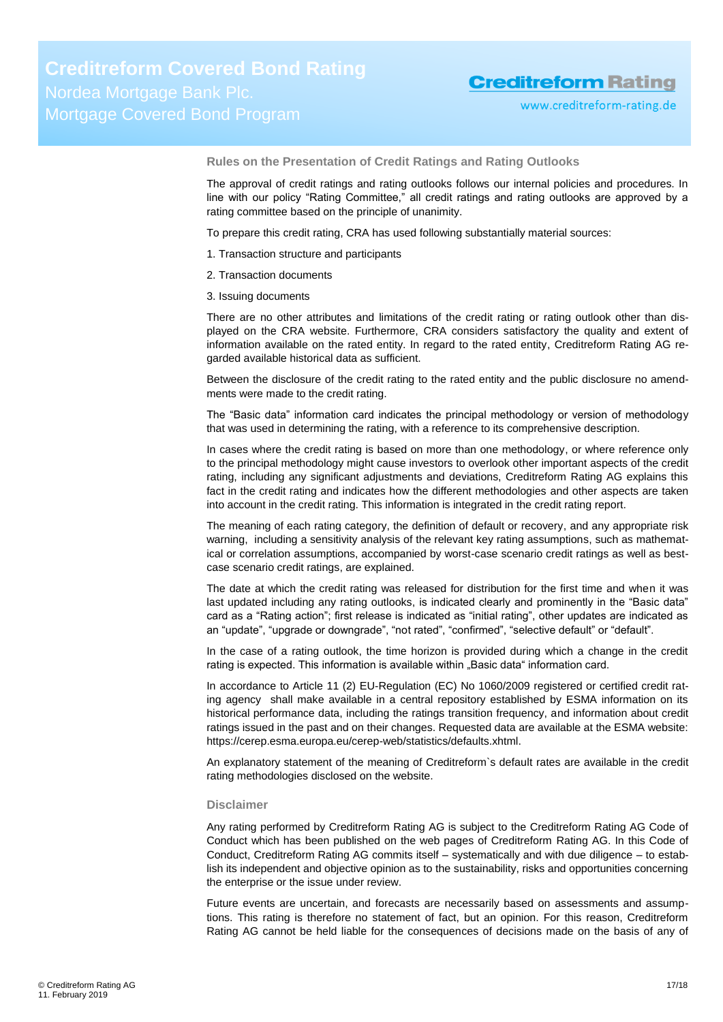**Rules on the Presentation of Credit Ratings and Rating Outlooks**

The approval of credit ratings and rating outlooks follows our internal policies and procedures. In line with our policy "Rating Committee," all credit ratings and rating outlooks are approved by a rating committee based on the principle of unanimity.

To prepare this credit rating, CRA has used following substantially material sources:

- 1. Transaction structure and participants
- 2. Transaction documents
- 3. Issuing documents

There are no other attributes and limitations of the credit rating or rating outlook other than displayed on the CRA website. Furthermore, CRA considers satisfactory the quality and extent of information available on the rated entity. In regard to the rated entity, Creditreform Rating AG regarded available historical data as sufficient.

Between the disclosure of the credit rating to the rated entity and the public disclosure no amendments were made to the credit rating.

The "Basic data" information card indicates the principal methodology or version of methodology that was used in determining the rating, with a reference to its comprehensive description.

In cases where the credit rating is based on more than one methodology, or where reference only to the principal methodology might cause investors to overlook other important aspects of the credit rating, including any significant adjustments and deviations, Creditreform Rating AG explains this fact in the credit rating and indicates how the different methodologies and other aspects are taken into account in the credit rating. This information is integrated in the credit rating report.

The meaning of each rating category, the definition of default or recovery, and any appropriate risk warning, including a sensitivity analysis of the relevant key rating assumptions, such as mathematical or correlation assumptions, accompanied by worst-case scenario credit ratings as well as bestcase scenario credit ratings, are explained.

The date at which the credit rating was released for distribution for the first time and when it was last updated including any rating outlooks, is indicated clearly and prominently in the "Basic data" card as a "Rating action"; first release is indicated as "initial rating", other updates are indicated as an "update", "upgrade or downgrade", "not rated", "confirmed", "selective default" or "default".

In the case of a rating outlook, the time horizon is provided during which a change in the credit rating is expected. This information is available within "Basic data" information card.

In accordance to Article 11 (2) EU-Regulation (EC) No 1060/2009 registered or certified credit rating agency shall make available in a central repository established by ESMA information on its historical performance data, including the ratings transition frequency, and information about credit ratings issued in the past and on their changes. Requested data are available at the ESMA website: https://cerep.esma.europa.eu/cerep-web/statistics/defaults.xhtml.

An explanatory statement of the meaning of Creditreform`s default rates are available in the credit rating methodologies disclosed on the website.

#### **Disclaimer**

Any rating performed by Creditreform Rating AG is subject to the Creditreform Rating AG Code of Conduct which has been published on the web pages of Creditreform Rating AG. In this Code of Conduct, Creditreform Rating AG commits itself – systematically and with due diligence – to establish its independent and objective opinion as to the sustainability, risks and opportunities concerning the enterprise or the issue under review.

Future events are uncertain, and forecasts are necessarily based on assessments and assumptions. This rating is therefore no statement of fact, but an opinion. For this reason, Creditreform Rating AG cannot be held liable for the consequences of decisions made on the basis of any of